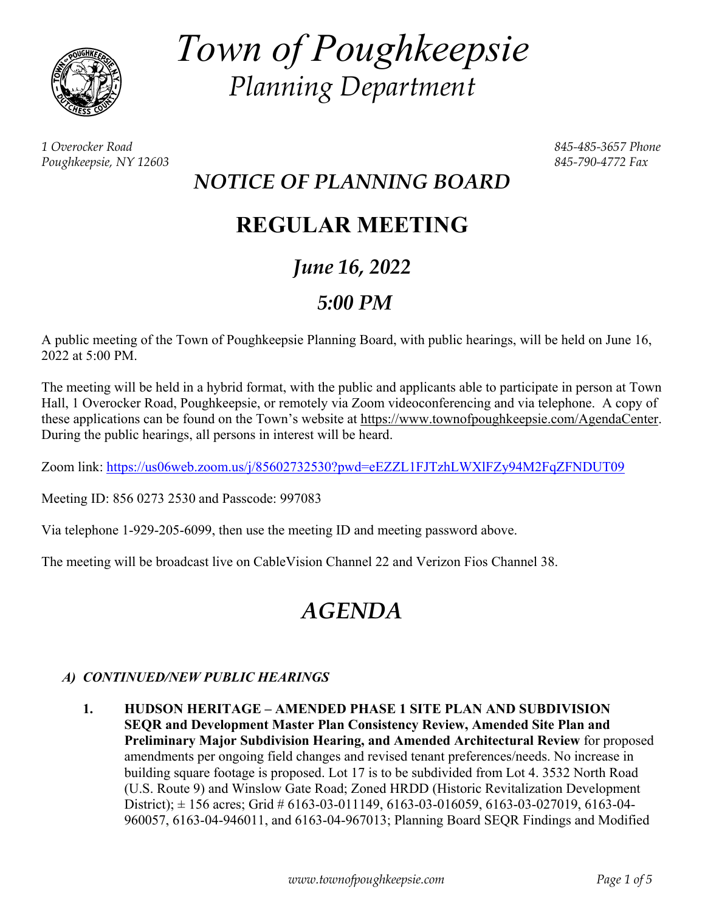

*Town of Poughkeepsie Planning Department* 

*1 Overocker Road 845-485-3657 Phone Poughkeepsie, NY 12603 845-790-4772 Fax* 

# *NOTICE OF PLANNING BOARD*

# **REGULAR MEETING**

# *June 16, 2022*

# *5:00 PM*

A public meeting of the Town of Poughkeepsie Planning Board, with public hearings, will be held on June 16, 2022 at 5:00 PM.

The meeting will be held in a hybrid format, with the public and applicants able to participate in person at Town Hall, 1 Overocker Road, Poughkeepsie, or remotely via Zoom videoconferencing and via telephone. A copy of these applications can be found on the Town's website at https://www.townofpoughkeepsie.com/AgendaCenter. During the public hearings, all persons in interest will be heard.

Zoom link: https://us06web.zoom.us/j/85602732530?pwd=eEZZL1FJTzhLWXlFZy94M2FqZFNDUT09

Meeting ID: 856 0273 2530 and Passcode: 997083

Via telephone 1-929-205-6099, then use the meeting ID and meeting password above.

The meeting will be broadcast live on CableVision Channel 22 and Verizon Fios Channel 38.

# *AGENDA*

# *A) CONTINUED/NEW PUBLIC HEARINGS*

 **1. HUDSON HERITAGE – AMENDED PHASE 1 SITE PLAN AND SUBDIVISION SEQR and Development Master Plan Consistency Review, Amended Site Plan and Preliminary Major Subdivision Hearing, and Amended Architectural Review** for proposed amendments per ongoing field changes and revised tenant preferences/needs. No increase in building square footage is proposed. Lot 17 is to be subdivided from Lot 4. 3532 North Road (U.S. Route 9) and Winslow Gate Road; Zoned HRDD (Historic Revitalization Development District);  $\pm$  156 acres; Grid # 6163-03-011149, 6163-03-016059, 6163-03-027019, 6163-04-960057, 6163-04-946011, and 6163-04-967013; Planning Board SEQR Findings and Modified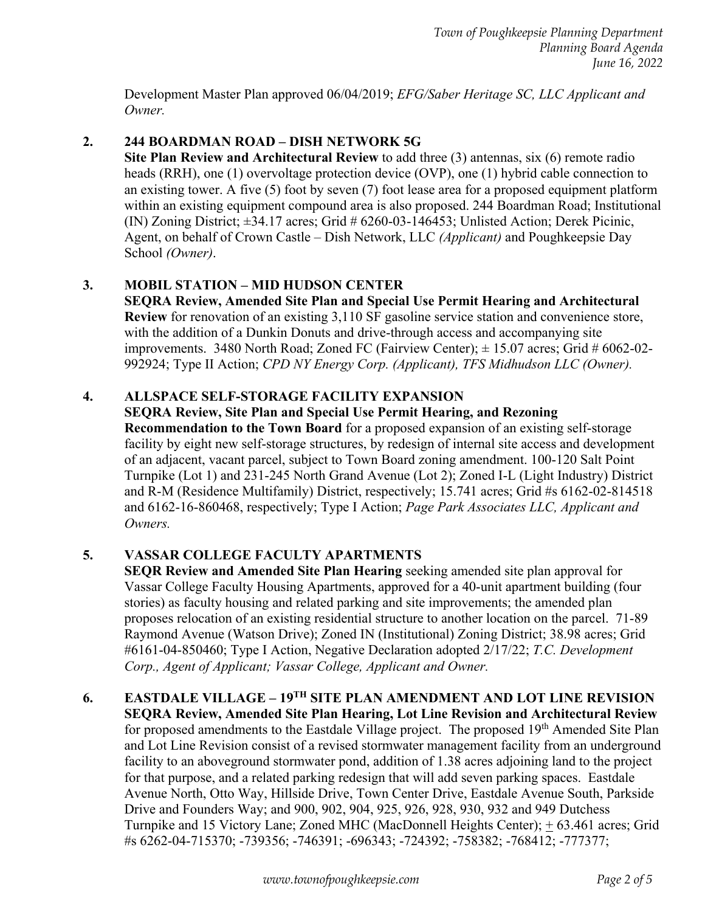Development Master Plan approved 06/04/2019; *EFG/Saber Heritage SC, LLC Applicant and Owner.* 

# **2. 244 BOARDMAN ROAD – DISH NETWORK 5G**

**Site Plan Review and Architectural Review** to add three (3) antennas, six (6) remote radio heads (RRH), one (1) overvoltage protection device (OVP), one (1) hybrid cable connection to an existing tower. A five (5) foot by seven (7) foot lease area for a proposed equipment platform within an existing equipment compound area is also proposed. 244 Boardman Road; Institutional (IN) Zoning District;  $\pm 34.17$  acres; Grid # 6260-03-146453; Unlisted Action; Derek Picinic, Agent, on behalf of Crown Castle – Dish Network, LLC *(Applicant)* and Poughkeepsie Day School *(Owner)*.

# **3. MOBIL STATION – MID HUDSON CENTER**

**SEQRA Review, Amended Site Plan and Special Use Permit Hearing and Architectural Review** for renovation of an existing 3,110 SF gasoline service station and convenience store, with the addition of a Dunkin Donuts and drive-through access and accompanying site improvements. 3480 North Road; Zoned FC (Fairview Center);  $\pm$  15.07 acres; Grid # 6062-02-992924; Type II Action; *CPD NY Energy Corp. (Applicant), TFS Midhudson LLC (Owner).* 

# **4. ALLSPACE SELF-STORAGE FACILITY EXPANSION**

# **SEQRA Review, Site Plan and Special Use Permit Hearing, and Rezoning**

**Recommendation to the Town Board** for a proposed expansion of an existing self-storage facility by eight new self-storage structures, by redesign of internal site access and development of an adjacent, vacant parcel, subject to Town Board zoning amendment. 100-120 Salt Point Turnpike (Lot 1) and 231-245 North Grand Avenue (Lot 2); Zoned I-L (Light Industry) District and R-M (Residence Multifamily) District, respectively; 15.741 acres; Grid #s 6162-02-814518 and 6162-16-860468, respectively; Type I Action; *Page Park Associates LLC, Applicant and Owners.*

## **5. VASSAR COLLEGE FACULTY APARTMENTS**

**SEQR Review and Amended Site Plan Hearing** seeking amended site plan approval for Vassar College Faculty Housing Apartments, approved for a 40-unit apartment building (four stories) as faculty housing and related parking and site improvements; the amended plan proposes relocation of an existing residential structure to another location on the parcel. 71-89 Raymond Avenue (Watson Drive); Zoned IN (Institutional) Zoning District; 38.98 acres; Grid #6161-04-850460; Type I Action, Negative Declaration adopted 2/17/22; *T.C. Development Corp., Agent of Applicant; Vassar College, Applicant and Owner.* 

#### **6. EASTDALE VILLAGE – 19TH SITE PLAN AMENDMENT AND LOT LINE REVISION SEQRA Review, Amended Site Plan Hearing, Lot Line Revision and Architectural Review** for proposed amendments to the Eastdale Village project. The proposed 19<sup>th</sup> Amended Site Plan and Lot Line Revision consist of a revised stormwater management facility from an underground facility to an aboveground stormwater pond, addition of 1.38 acres adjoining land to the project for that purpose, and a related parking redesign that will add seven parking spaces. Eastdale Avenue North, Otto Way, Hillside Drive, Town Center Drive, Eastdale Avenue South, Parkside Drive and Founders Way; and 900, 902, 904, 925, 926, 928, 930, 932 and 949 Dutchess Turnpike and 15 Victory Lane; Zoned MHC (MacDonnell Heights Center); + 63.461 acres; Grid #s 6262-04-715370; -739356; -746391; -696343; -724392; -758382; -768412; -777377;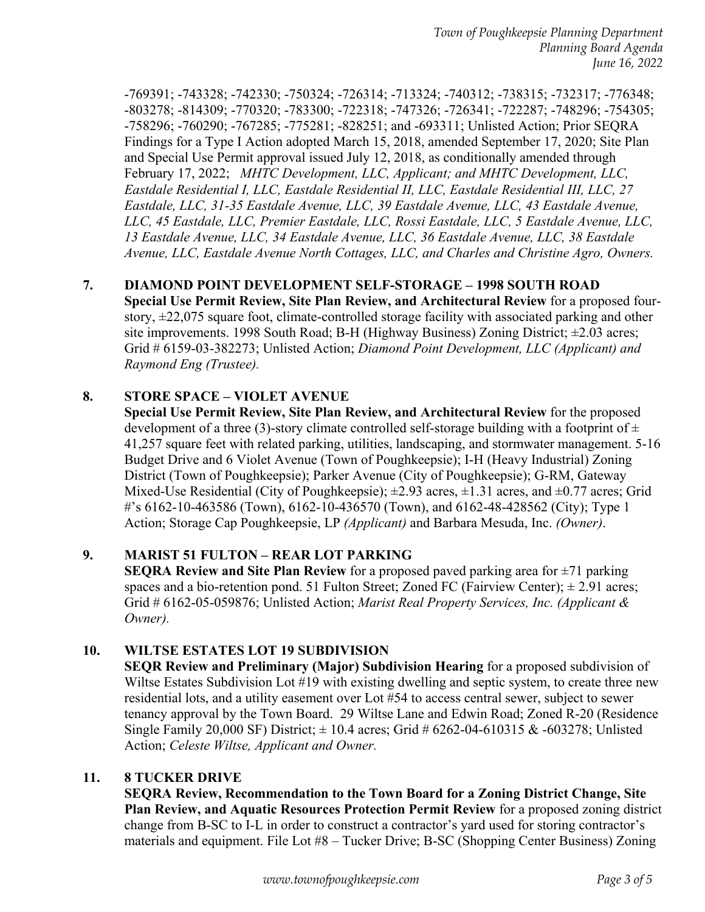-769391; -743328; -742330; -750324; -726314; -713324; -740312; -738315; -732317; -776348; -803278; -814309; -770320; -783300; -722318; -747326; -726341; -722287; -748296; -754305; -758296; -760290; -767285; -775281; -828251; and -693311; Unlisted Action; Prior SEQRA Findings for a Type I Action adopted March 15, 2018, amended September 17, 2020; Site Plan and Special Use Permit approval issued July 12, 2018, as conditionally amended through February 17, 2022; *MHTC Development, LLC, Applicant; and MHTC Development, LLC, Eastdale Residential I, LLC, Eastdale Residential II, LLC, Eastdale Residential III, LLC, 27 Eastdale, LLC, 31-35 Eastdale Avenue, LLC, 39 Eastdale Avenue, LLC, 43 Eastdale Avenue, LLC, 45 Eastdale, LLC, Premier Eastdale, LLC, Rossi Eastdale, LLC, 5 Eastdale Avenue, LLC, 13 Eastdale Avenue, LLC, 34 Eastdale Avenue, LLC, 36 Eastdale Avenue, LLC, 38 Eastdale Avenue, LLC, Eastdale Avenue North Cottages, LLC, and Charles and Christine Agro, Owners.* 

# **7. DIAMOND POINT DEVELOPMENT SELF-STORAGE – 1998 SOUTH ROAD**

**Special Use Permit Review, Site Plan Review, and Architectural Review** for a proposed fourstory, ±22,075 square foot, climate-controlled storage facility with associated parking and other site improvements. 1998 South Road; B-H (Highway Business) Zoning District; ±2.03 acres; Grid # 6159-03-382273; Unlisted Action; *Diamond Point Development, LLC (Applicant) and Raymond Eng (Trustee).*

# **8. STORE SPACE – VIOLET AVENUE**

**Special Use Permit Review, Site Plan Review, and Architectural Review** for the proposed development of a three (3)-story climate controlled self-storage building with a footprint of  $\pm$ 41,257 square feet with related parking, utilities, landscaping, and stormwater management. 5-16 Budget Drive and 6 Violet Avenue (Town of Poughkeepsie); I-H (Heavy Industrial) Zoning District (Town of Poughkeepsie); Parker Avenue (City of Poughkeepsie); G-RM, Gateway Mixed-Use Residential (City of Poughkeepsie);  $\pm 2.93$  acres,  $\pm 1.31$  acres, and  $\pm 0.77$  acres; Grid #'s 6162-10-463586 (Town), 6162-10-436570 (Town), and 6162-48-428562 (City); Type 1 Action; Storage Cap Poughkeepsie, LP *(Applicant)* and Barbara Mesuda, Inc. *(Owner)*.

## **9. MARIST 51 FULTON – REAR LOT PARKING**

**SEQRA Review and Site Plan Review** for a proposed paved parking area for  $\pm$ 71 parking spaces and a bio-retention pond. 51 Fulton Street; Zoned FC (Fairview Center);  $\pm$  2.91 acres; Grid # 6162-05-059876; Unlisted Action; *Marist Real Property Services, Inc. (Applicant & Owner).*

## **10. WILTSE ESTATES LOT 19 SUBDIVISION**

**SEQR Review and Preliminary (Major) Subdivision Hearing** for a proposed subdivision of Wiltse Estates Subdivision Lot #19 with existing dwelling and septic system, to create three new residential lots, and a utility easement over Lot #54 to access central sewer, subject to sewer tenancy approval by the Town Board. 29 Wiltse Lane and Edwin Road; Zoned R-20 (Residence Single Family 20,000 SF) District;  $\pm$  10.4 acres; Grid # 6262-04-610315 & -603278; Unlisted Action; *Celeste Wiltse, Applicant and Owner.*

## **11. 8 TUCKER DRIVE**

**SEQRA Review, Recommendation to the Town Board for a Zoning District Change, Site Plan Review, and Aquatic Resources Protection Permit Review** for a proposed zoning district change from B-SC to I-L in order to construct a contractor's yard used for storing contractor's materials and equipment. File Lot #8 – Tucker Drive; B-SC (Shopping Center Business) Zoning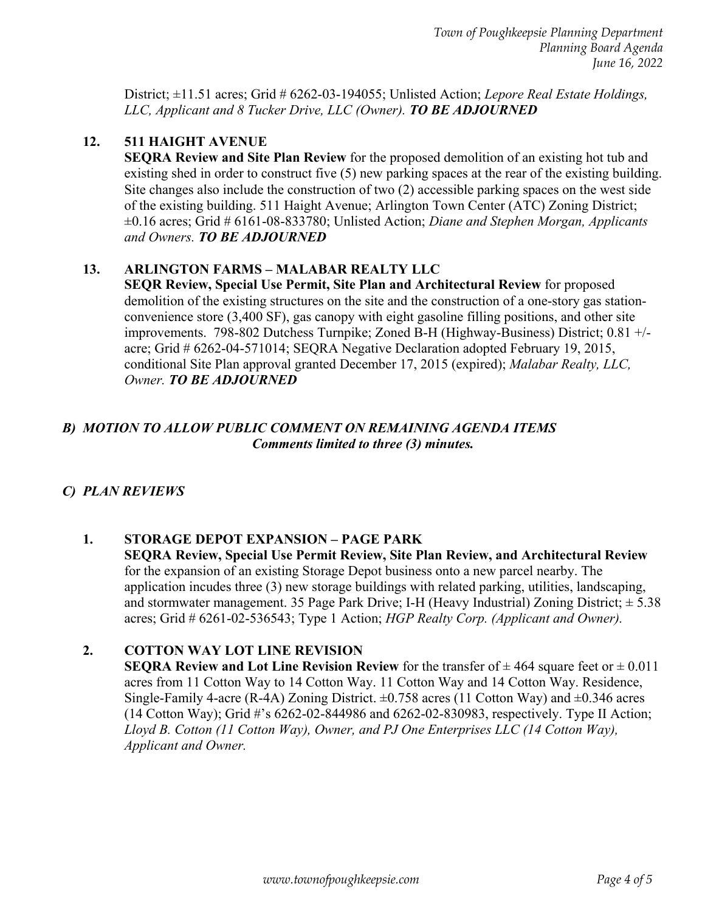District; ±11.51 acres; Grid # 6262-03-194055; Unlisted Action; *Lepore Real Estate Holdings, LLC, Applicant and 8 Tucker Drive, LLC (Owner). TO BE ADJOURNED* 

#### **12. 511 HAIGHT AVENUE**

**SEQRA Review and Site Plan Review** for the proposed demolition of an existing hot tub and existing shed in order to construct five (5) new parking spaces at the rear of the existing building. Site changes also include the construction of two (2) accessible parking spaces on the west side of the existing building. 511 Haight Avenue; Arlington Town Center (ATC) Zoning District; ±0.16 acres; Grid # 6161-08-833780; Unlisted Action; *Diane and Stephen Morgan, Applicants and Owners. TO BE ADJOURNED*

#### **13. ARLINGTON FARMS – MALABAR REALTY LLC**

**SEQR Review, Special Use Permit, Site Plan and Architectural Review** for proposed demolition of the existing structures on the site and the construction of a one-story gas stationconvenience store (3,400 SF), gas canopy with eight gasoline filling positions, and other site improvements. 798-802 Dutchess Turnpike; Zoned B-H (Highway-Business) District; 0.81 +/ acre; Grid # 6262-04-571014; SEQRA Negative Declaration adopted February 19, 2015, conditional Site Plan approval granted December 17, 2015 (expired); *Malabar Realty, LLC, Owner. TO BE ADJOURNED* 

## *B) MOTION TO ALLOW PUBLIC COMMENT ON REMAINING AGENDA ITEMS Comments limited to three (3) minutes.*

## *C) PLAN REVIEWS*

## **1. STORAGE DEPOT EXPANSION – PAGE PARK**

**SEQRA Review, Special Use Permit Review, Site Plan Review, and Architectural Review**  for the expansion of an existing Storage Depot business onto a new parcel nearby. The application incudes three (3) new storage buildings with related parking, utilities, landscaping, and stormwater management. 35 Page Park Drive; I-H (Heavy Industrial) Zoning District;  $\pm$  5.38 acres; Grid # 6261-02-536543; Type 1 Action; *HGP Realty Corp. (Applicant and Owner).*

## **2. COTTON WAY LOT LINE REVISION**

**SEQRA Review and Lot Line Revision Review** for the transfer of  $\pm$  464 square feet or  $\pm$  0.011 acres from 11 Cotton Way to 14 Cotton Way. 11 Cotton Way and 14 Cotton Way. Residence, Single-Family 4-acre (R-4A) Zoning District.  $\pm 0.758$  acres (11 Cotton Way) and  $\pm 0.346$  acres (14 Cotton Way); Grid #'s 6262-02-844986 and 6262-02-830983, respectively. Type II Action; *Lloyd B. Cotton (11 Cotton Way), Owner, and PJ One Enterprises LLC (14 Cotton Way), Applicant and Owner.*